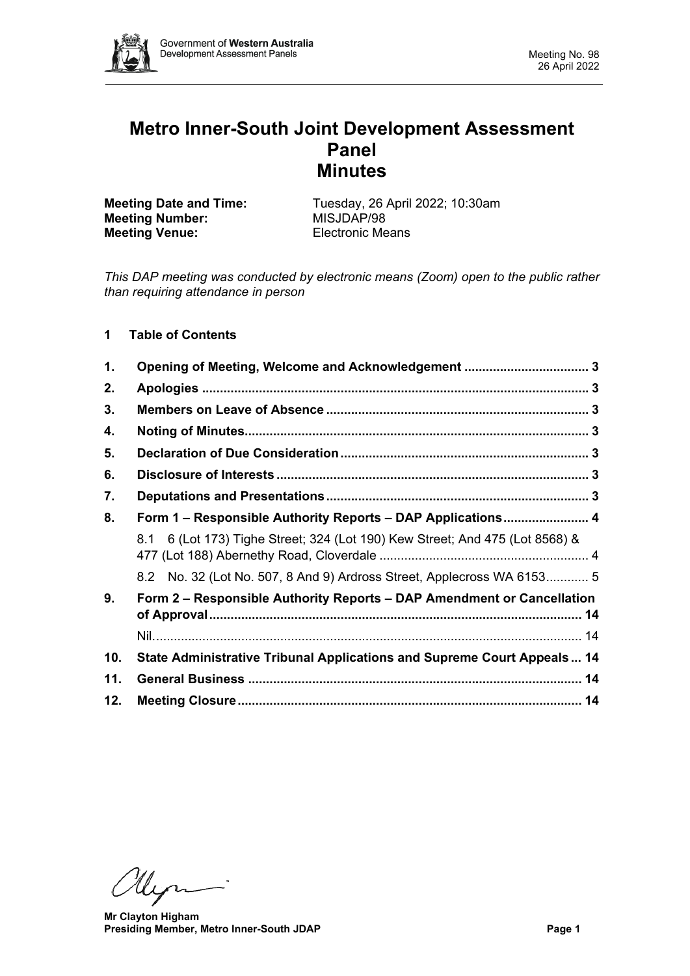

# **Metro Inner-South Joint Development Assessment Panel Minutes**

**Meeting Number:** MISJDAP/98<br> **Meeting Venue:** Electronic Means **Meeting Venue:** 

**Meeting Date and Time:** Tuesday, 26 April 2022; 10:30am<br> **MISJDAP/98** 

*This DAP meeting was conducted by electronic means (Zoom) open to the public rather than requiring attendance in person*

# **1 Table of Contents**

| 1.  |                                                                                                                            |  |  |  |
|-----|----------------------------------------------------------------------------------------------------------------------------|--|--|--|
| 2.  |                                                                                                                            |  |  |  |
| 3.  |                                                                                                                            |  |  |  |
| 4.  |                                                                                                                            |  |  |  |
| 5.  |                                                                                                                            |  |  |  |
| 6.  |                                                                                                                            |  |  |  |
| 7.  |                                                                                                                            |  |  |  |
| 8.  | Form 1 - Responsible Authority Reports - DAP Applications 4                                                                |  |  |  |
|     | 8.1 6 (Lot 173) Tighe Street; 324 (Lot 190) Kew Street; And 475 (Lot 8568) &                                               |  |  |  |
|     | 8.2 No. 32 (Lot No. 507, 8 And 9) Ardross Street, Applecross WA 6153 5                                                     |  |  |  |
| 9.  | Form 2 – Responsible Authority Reports – DAP Amendment or Cancellation<br>of Approval………………………………………………………………………………………… 14 |  |  |  |
|     |                                                                                                                            |  |  |  |
| 10. | State Administrative Tribunal Applications and Supreme Court Appeals 14                                                    |  |  |  |
| 11. |                                                                                                                            |  |  |  |
| 12. |                                                                                                                            |  |  |  |

Ulyn

**Mr Clayton Higham Presiding Member, Metro Inner-South JDAP Page 1**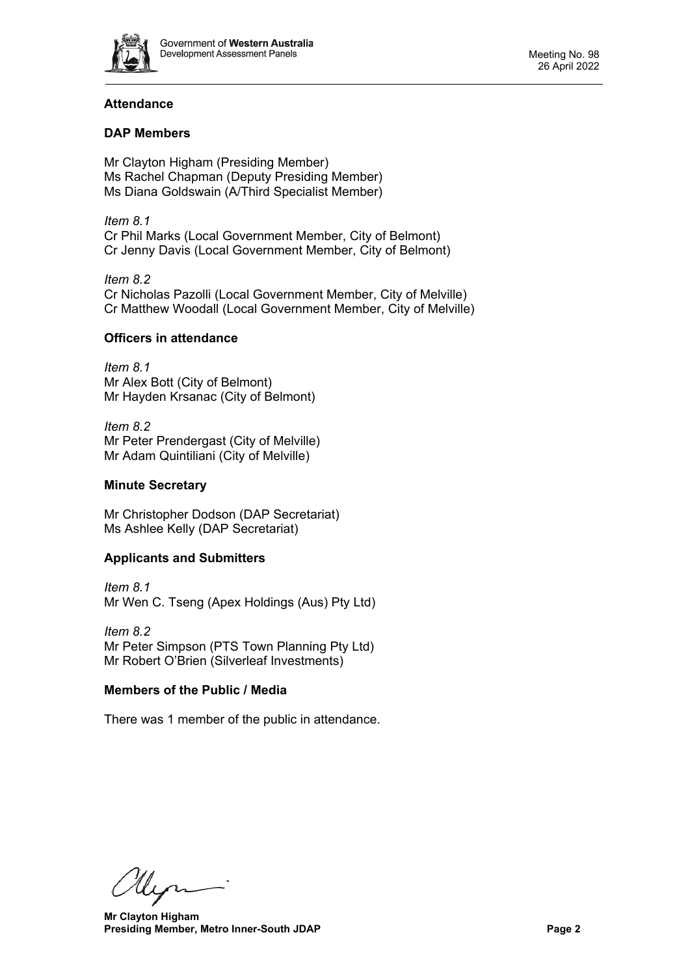

# **Attendance**

# **DAP Members**

Mr Clayton Higham (Presiding Member) Ms Rachel Chapman (Deputy Presiding Member) Ms Diana Goldswain (A/Third Specialist Member)

*Item 8.1* Cr Phil Marks (Local Government Member, City of Belmont) Cr Jenny Davis (Local Government Member, City of Belmont)

*Item 8.2* Cr Nicholas Pazolli (Local Government Member, City of Melville) Cr Matthew Woodall (Local Government Member, City of Melville)

# **Officers in attendance**

*Item 8.1* Mr Alex Bott (City of Belmont) Mr Hayden Krsanac (City of Belmont)

*Item 8.2* Mr Peter Prendergast (City of Melville) Mr Adam Quintiliani (City of Melville)

## **Minute Secretary**

Mr Christopher Dodson (DAP Secretariat) Ms Ashlee Kelly (DAP Secretariat)

# **Applicants and Submitters**

*Item 8.1* Mr Wen C. Tseng (Apex Holdings (Aus) Pty Ltd)

*Item 8.2* Mr Peter Simpson (PTS Town Planning Pty Ltd) Mr Robert O'Brien (Silverleaf Investments)

## **Members of the Public / Media**

There was 1 member of the public in attendance.

llen

**Mr Clayton Higham Presiding Member, Metro Inner-South JDAP Page 2**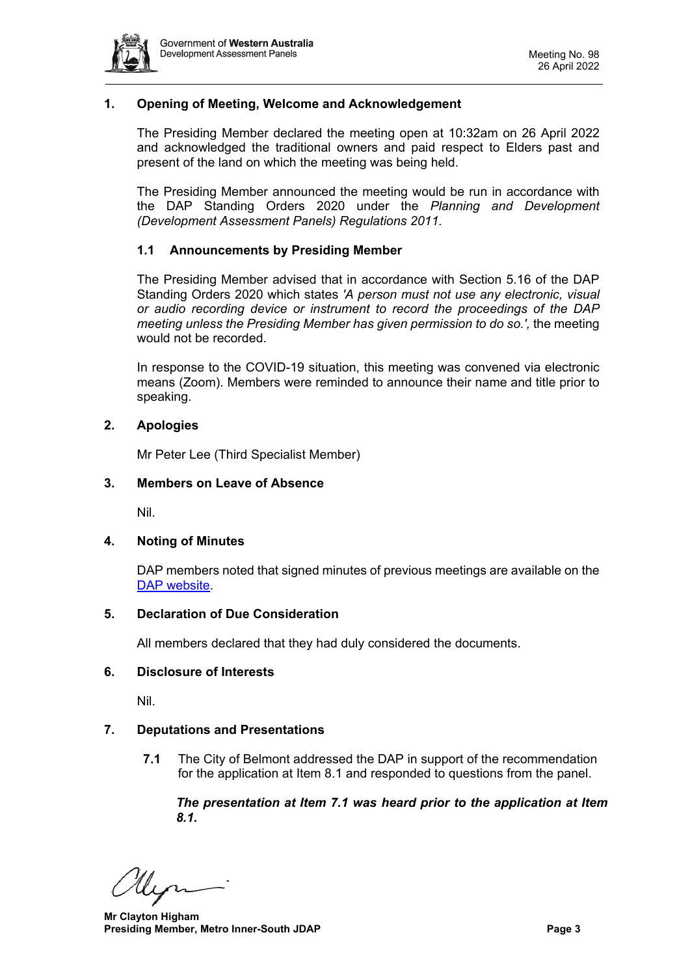

# <span id="page-2-0"></span>**1. Opening of Meeting, Welcome and Acknowledgement**

The Presiding Member declared the meeting open at 10:32am on 26 April 2022 and acknowledged the traditional owners and paid respect to Elders past and present of the land on which the meeting was being held.

The Presiding Member announced the meeting would be run in accordance with the DAP Standing Orders 2020 under the *Planning and Development (Development Assessment Panels) Regulations 2011.*

## **1.1 Announcements by Presiding Member**

The Presiding Member advised that in accordance with Section 5.16 of the DAP Standing Orders 2020 which states *'A person must not use any electronic, visual or audio recording device or instrument to record the proceedings of the DAP meeting unless the Presiding Member has given permission to do so.',* the meeting would not be recorded.

In response to the COVID-19 situation, this meeting was convened via electronic means (Zoom). Members were reminded to announce their name and title prior to speaking.

## <span id="page-2-1"></span>**2. Apologies**

Mr Peter Lee (Third Specialist Member)

## <span id="page-2-2"></span>**3. Members on Leave of Absence**

Nil.

## <span id="page-2-3"></span>**4. Noting of Minutes**

DAP members noted that signed minutes of previous meetings are available on the [DAP website.](https://www.dplh.wa.gov.au/about/development-assessment-panels/daps-agendas-and-minutes)

## <span id="page-2-4"></span>**5. Declaration of Due Consideration**

All members declared that they had duly considered the documents.

## <span id="page-2-5"></span>**6. Disclosure of Interests**

Nil.

## <span id="page-2-6"></span>**7. Deputations and Presentations**

**7.1** The City of Belmont addressed the DAP in support of the recommendation for the application at Item 8.1 and responded to questions from the panel.

*The presentation at Item 7.1 was heard prior to the application at Item 8.1.* 

llen

**Mr Clayton Higham Presiding Member, Metro Inner-South JDAP Page 3**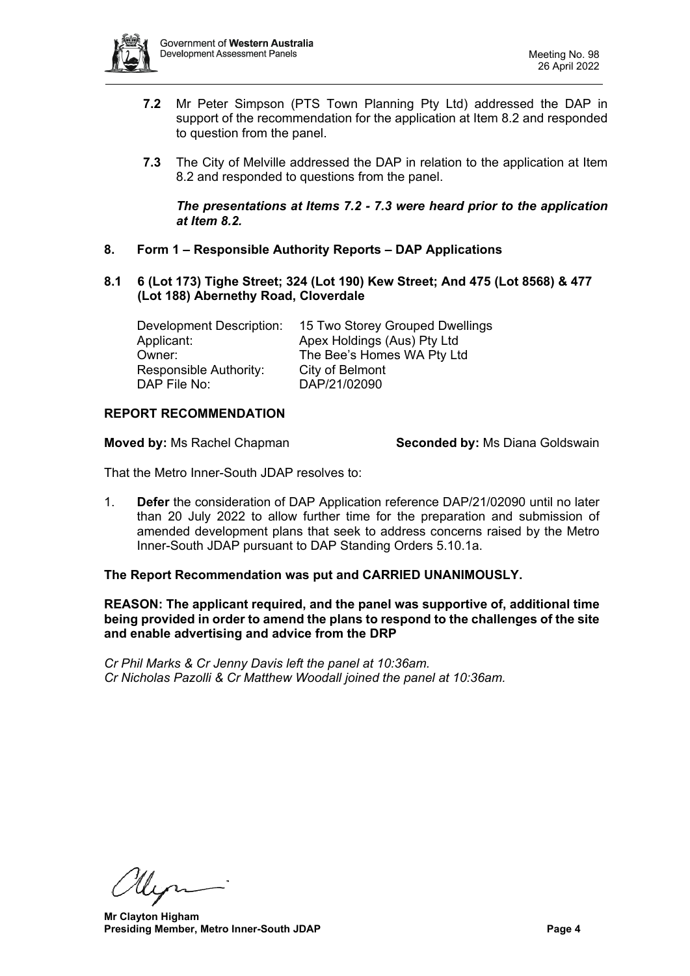

- **7.2** Mr Peter Simpson (PTS Town Planning Pty Ltd) addressed the DAP in support of the recommendation for the application at Item 8.2 and responded to question from the panel.
- **7.3** The City of Melville addressed the DAP in relation to the application at Item 8.2 and responded to questions from the panel.

*The presentations at Items 7.2 - 7.3 were heard prior to the application at Item 8.2.* 

- <span id="page-3-0"></span>**8. Form 1 – Responsible Authority Reports – DAP Applications**
- <span id="page-3-1"></span>**8.1 6 (Lot 173) Tighe Street; 324 (Lot 190) Kew Street; And 475 (Lot 8568) & 477 (Lot 188) Abernethy Road, Cloverdale**

Development Description: 15 Two Storey Grouped Dwellings Applicant: Apex Holdings (Aus) Pty Ltd Owner: The Bee's Homes WA Pty Ltd Responsible Authority: City of Belmont DAP File No: DAP/21/02090

## **REPORT RECOMMENDATION**

**Moved by:** Ms Rachel Chapman **Seconded by:** Ms Diana Goldswain

That the Metro Inner-South JDAP resolves to:

1. **Defer** the consideration of DAP Application reference DAP/21/02090 until no later than 20 July 2022 to allow further time for the preparation and submission of amended development plans that seek to address concerns raised by the Metro Inner-South JDAP pursuant to DAP Standing Orders 5.10.1a.

## **The Report Recommendation was put and CARRIED UNANIMOUSLY.**

**REASON: The applicant required, and the panel was supportive of, additional time being provided in order to amend the plans to respond to the challenges of the site and enable advertising and advice from the DRP**

*Cr Phil Marks & Cr Jenny Davis left the panel at 10:36am. Cr Nicholas Pazolli & Cr Matthew Woodall joined the panel at 10:36am.*

llyn

**Mr Clayton Higham Presiding Member, Metro Inner-South JDAP Page 4 Page 4**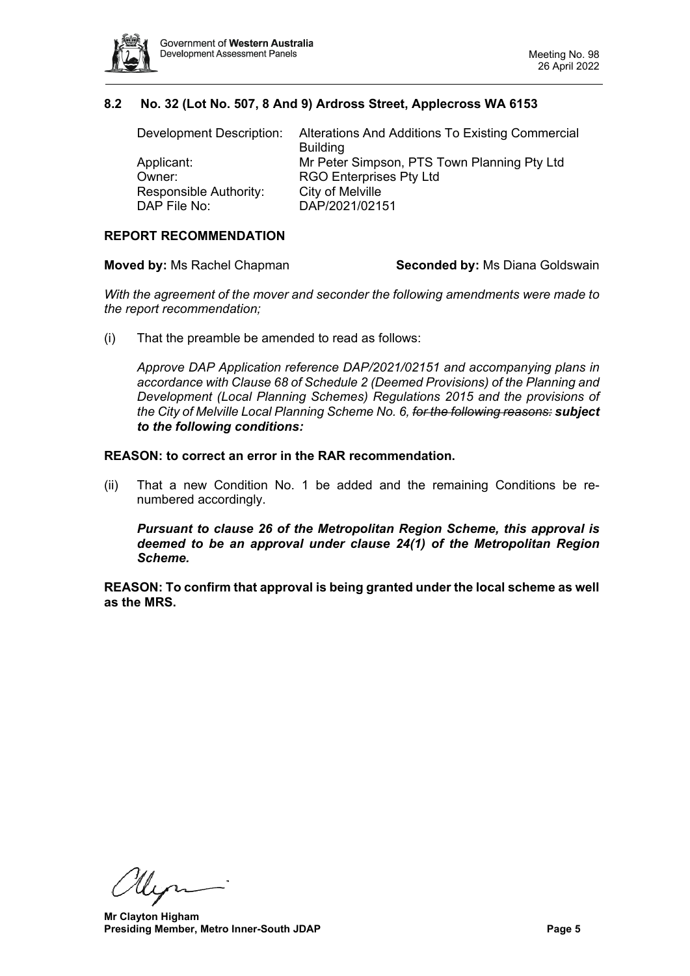

# **8.2 No. 32 (Lot No. 507, 8 And 9) Ardross Street, Applecross WA 6153**

<span id="page-4-0"></span>

| Development Description: | Alterations And Additions To Existing Commercial |  |
|--------------------------|--------------------------------------------------|--|
|                          | <b>Building</b>                                  |  |
| Applicant:               | Mr Peter Simpson, PTS Town Planning Pty Ltd      |  |
| Owner:                   | <b>RGO Enterprises Pty Ltd</b>                   |  |
| Responsible Authority:   | City of Melville                                 |  |
| DAP File No:             | DAP/2021/02151                                   |  |

# **REPORT RECOMMENDATION**

**Moved by:** Ms Rachel Chapman **Seconded by:** Ms Diana Goldswain

*With the agreement of the mover and seconder the following amendments were made to the report recommendation;*

(i) That the preamble be amended to read as follows:

*Approve DAP Application reference DAP/2021/02151 and accompanying plans in accordance with Clause 68 of Schedule 2 (Deemed Provisions) of the Planning and Development (Local Planning Schemes) Regulations 2015 and the provisions of the City of Melville Local Planning Scheme No. 6, for the following reasons: subject to the following conditions:*

#### **REASON: to correct an error in the RAR recommendation.**

(ii) That a new Condition No. 1 be added and the remaining Conditions be renumbered accordingly.

*Pursuant to clause 26 of the Metropolitan Region Scheme, this approval is deemed to be an approval under clause 24(1) of the Metropolitan Region Scheme.* 

**REASON: To confirm that approval is being granted under the local scheme as well as the MRS.**

Un

**Mr Clayton Higham Presiding Member, Metro Inner-South JDAP Page 5**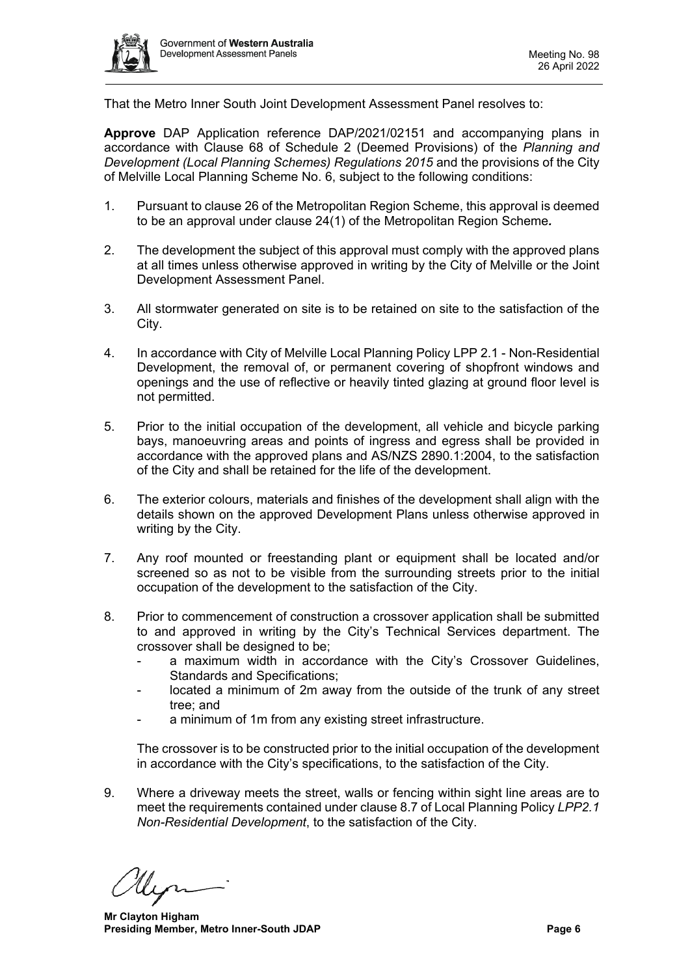

That the Metro Inner South Joint Development Assessment Panel resolves to:

**Approve** DAP Application reference DAP/2021/02151 and accompanying plans in accordance with Clause 68 of Schedule 2 (Deemed Provisions) of the *Planning and Development (Local Planning Schemes) Regulations 2015* and the provisions of the City of Melville Local Planning Scheme No. 6, subject to the following conditions:

- 1. Pursuant to clause 26 of the Metropolitan Region Scheme, this approval is deemed to be an approval under clause 24(1) of the Metropolitan Region Scheme*.*
- 2. The development the subject of this approval must comply with the approved plans at all times unless otherwise approved in writing by the City of Melville or the Joint Development Assessment Panel.
- 3. All stormwater generated on site is to be retained on site to the satisfaction of the City.
- 4. In accordance with City of Melville Local Planning Policy LPP 2.1 Non-Residential Development, the removal of, or permanent covering of shopfront windows and openings and the use of reflective or heavily tinted glazing at ground floor level is not permitted.
- 5. Prior to the initial occupation of the development, all vehicle and bicycle parking bays, manoeuvring areas and points of ingress and egress shall be provided in accordance with the approved plans and AS/NZS 2890.1:2004, to the satisfaction of the City and shall be retained for the life of the development.
- 6. The exterior colours, materials and finishes of the development shall align with the details shown on the approved Development Plans unless otherwise approved in writing by the City.
- 7. Any roof mounted or freestanding plant or equipment shall be located and/or screened so as not to be visible from the surrounding streets prior to the initial occupation of the development to the satisfaction of the City.
- 8. Prior to commencement of construction a crossover application shall be submitted to and approved in writing by the City's Technical Services department. The crossover shall be designed to be;
	- a maximum width in accordance with the City's Crossover Guidelines, Standards and Specifications;
	- located a minimum of 2m away from the outside of the trunk of any street tree; and
	- a minimum of 1m from any existing street infrastructure.

The crossover is to be constructed prior to the initial occupation of the development in accordance with the City's specifications, to the satisfaction of the City.

9. Where a driveway meets the street, walls or fencing within sight line areas are to meet the requirements contained under clause 8.7 of Local Planning Policy *LPP2.1 Non-Residential Development*, to the satisfaction of the City.

**Mr Clayton Higham Presiding Member, Metro Inner-South JDAP Page 6 Page 6**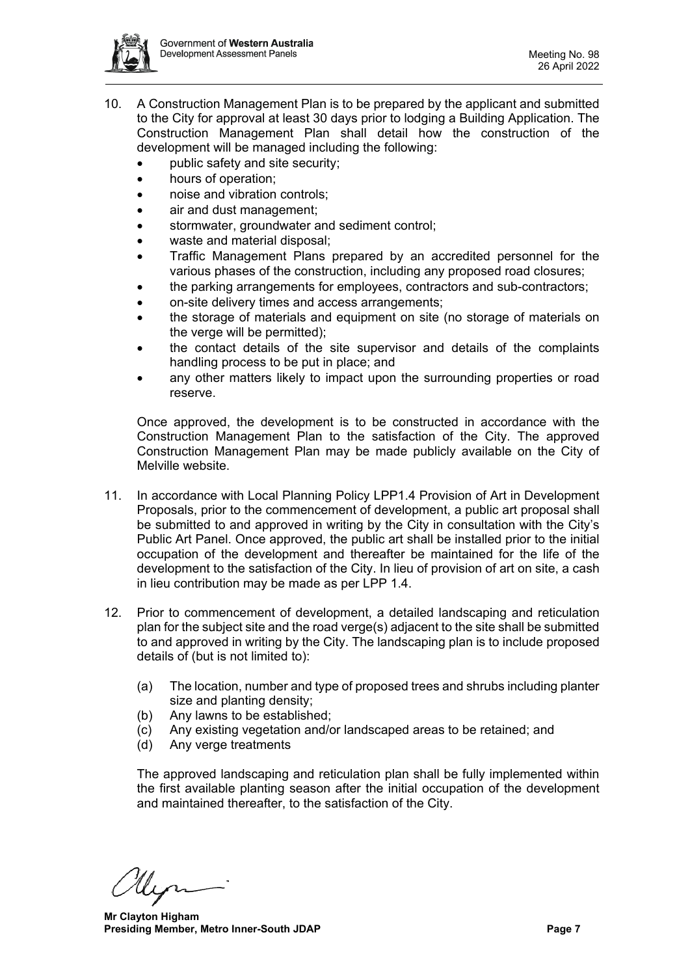

- 10. A Construction Management Plan is to be prepared by the applicant and submitted to the City for approval at least 30 days prior to lodging a Building Application. The Construction Management Plan shall detail how the construction of the development will be managed including the following:
	- public safety and site security;
	- hours of operation;
	- noise and vibration controls;
	- air and dust management:
	- stormwater, groundwater and sediment control;
	- waste and material disposal;
	- Traffic Management Plans prepared by an accredited personnel for the various phases of the construction, including any proposed road closures;
	- the parking arrangements for employees, contractors and sub-contractors;
	- on-site delivery times and access arrangements;
	- the storage of materials and equipment on site (no storage of materials on the verge will be permitted);
	- the contact details of the site supervisor and details of the complaints handling process to be put in place; and
	- any other matters likely to impact upon the surrounding properties or road reserve.

Once approved, the development is to be constructed in accordance with the Construction Management Plan to the satisfaction of the City. The approved Construction Management Plan may be made publicly available on the City of Melville website.

- 11. In accordance with Local Planning Policy LPP1.4 Provision of Art in Development Proposals, prior to the commencement of development, a public art proposal shall be submitted to and approved in writing by the City in consultation with the City's Public Art Panel. Once approved, the public art shall be installed prior to the initial occupation of the development and thereafter be maintained for the life of the development to the satisfaction of the City. In lieu of provision of art on site, a cash in lieu contribution may be made as per LPP 1.4.
- 12. Prior to commencement of development, a detailed landscaping and reticulation plan for the subject site and the road verge(s) adjacent to the site shall be submitted to and approved in writing by the City. The landscaping plan is to include proposed details of (but is not limited to):
	- (a) The location, number and type of proposed trees and shrubs including planter size and planting density;
	- (b) Any lawns to be established;
	- (c) Any existing vegetation and/or landscaped areas to be retained; and
	- (d) Any verge treatments

The approved landscaping and reticulation plan shall be fully implemented within the first available planting season after the initial occupation of the development and maintained thereafter, to the satisfaction of the City.

**Mr Clayton Higham Presiding Member, Metro Inner-South JDAP Page 7 Page 7**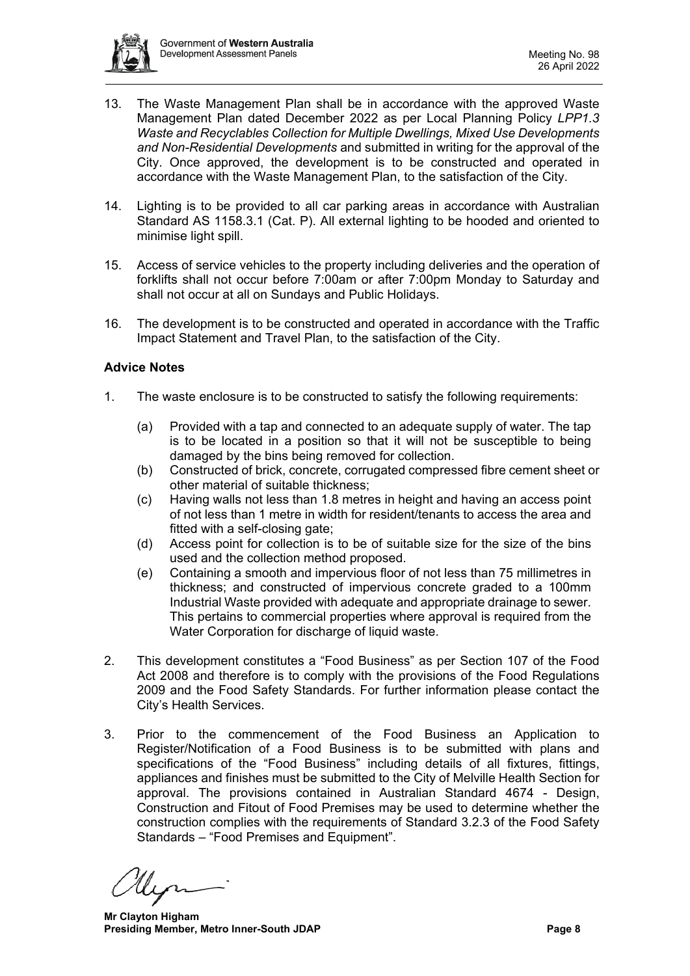

- 13. The Waste Management Plan shall be in accordance with the approved Waste Management Plan dated December 2022 as per Local Planning Policy *LPP1.3 Waste and Recyclables Collection for Multiple Dwellings, Mixed Use Developments and Non-Residential Developments* and submitted in writing for the approval of the City. Once approved, the development is to be constructed and operated in accordance with the Waste Management Plan, to the satisfaction of the City.
- 14. Lighting is to be provided to all car parking areas in accordance with Australian Standard AS 1158.3.1 (Cat. P). All external lighting to be hooded and oriented to minimise light spill.
- 15. Access of service vehicles to the property including deliveries and the operation of forklifts shall not occur before 7:00am or after 7:00pm Monday to Saturday and shall not occur at all on Sundays and Public Holidays.
- 16. The development is to be constructed and operated in accordance with the Traffic Impact Statement and Travel Plan, to the satisfaction of the City.

## **Advice Notes**

- 1. The waste enclosure is to be constructed to satisfy the following requirements:
	- (a) Provided with a tap and connected to an adequate supply of water. The tap is to be located in a position so that it will not be susceptible to being damaged by the bins being removed for collection.
	- (b) Constructed of brick, concrete, corrugated compressed fibre cement sheet or other material of suitable thickness;
	- (c) Having walls not less than 1.8 metres in height and having an access point of not less than 1 metre in width for resident/tenants to access the area and fitted with a self-closing gate;
	- (d) Access point for collection is to be of suitable size for the size of the bins used and the collection method proposed.
	- (e) Containing a smooth and impervious floor of not less than 75 millimetres in thickness; and constructed of impervious concrete graded to a 100mm Industrial Waste provided with adequate and appropriate drainage to sewer. This pertains to commercial properties where approval is required from the Water Corporation for discharge of liquid waste.
- 2. This development constitutes a "Food Business" as per Section 107 of the Food Act 2008 and therefore is to comply with the provisions of the Food Regulations 2009 and the Food Safety Standards. For further information please contact the City's Health Services.
- 3. Prior to the commencement of the Food Business an Application to Register/Notification of a Food Business is to be submitted with plans and specifications of the "Food Business" including details of all fixtures, fittings, appliances and finishes must be submitted to the City of Melville Health Section for approval. The provisions contained in Australian Standard 4674 - Design, Construction and Fitout of Food Premises may be used to determine whether the construction complies with the requirements of Standard 3.2.3 of the Food Safety Standards – "Food Premises and Equipment".

**Mr Clayton Higham Presiding Member, Metro Inner-South JDAP Page 8**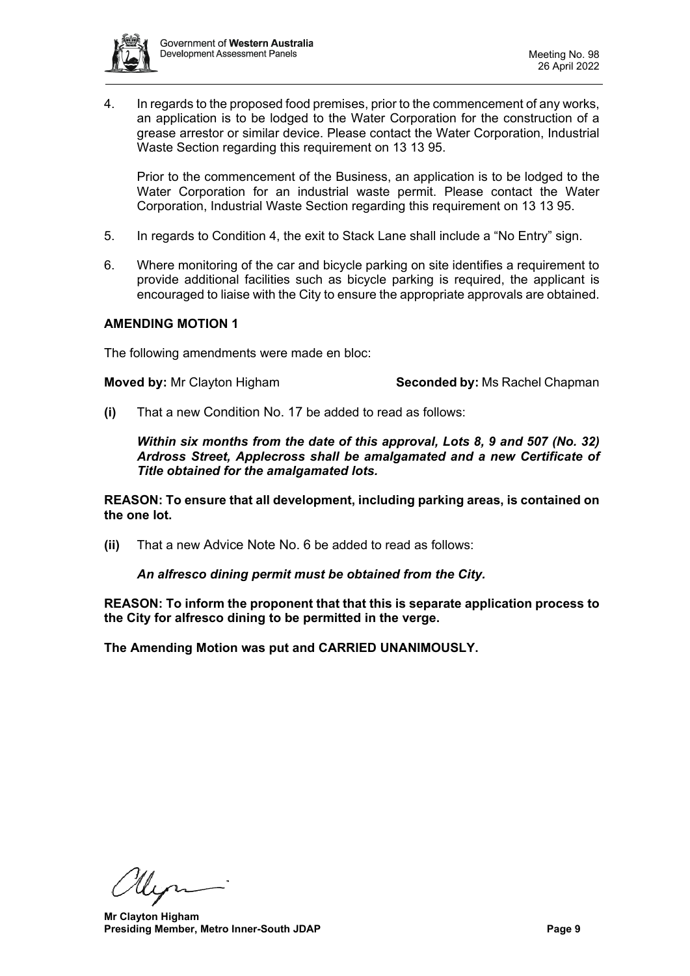

4. In regards to the proposed food premises, prior to the commencement of any works, an application is to be lodged to the Water Corporation for the construction of a grease arrestor or similar device. Please contact the Water Corporation, Industrial Waste Section regarding this requirement on 13 13 95.

Prior to the commencement of the Business, an application is to be lodged to the Water Corporation for an industrial waste permit. Please contact the Water Corporation, Industrial Waste Section regarding this requirement on 13 13 95.

- 5. In regards to Condition 4, the exit to Stack Lane shall include a "No Entry" sign.
- 6. Where monitoring of the car and bicycle parking on site identifies a requirement to provide additional facilities such as bicycle parking is required, the applicant is encouraged to liaise with the City to ensure the appropriate approvals are obtained.

## **AMENDING MOTION 1**

The following amendments were made en bloc:

**Moved by:** Mr Clayton Higham **Seconded by:** Ms Rachel Chapman

**(i)** That a new Condition No. 17 be added to read as follows:

*Within six months from the date of this approval, Lots 8, 9 and 507 (No. 32) Ardross Street, Applecross shall be amalgamated and a new Certificate of Title obtained for the amalgamated lots.*

**REASON: To ensure that all development, including parking areas, is contained on the one lot.**

**(ii)** That a new Advice Note No. 6 be added to read as follows:

*An alfresco dining permit must be obtained from the City.*

**REASON: To inform the proponent that that this is separate application process to the City for alfresco dining to be permitted in the verge.**

**The Amending Motion was put and CARRIED UNANIMOUSLY.**

Un

**Mr Clayton Higham Presiding Member, Metro Inner-South JDAP Page 9**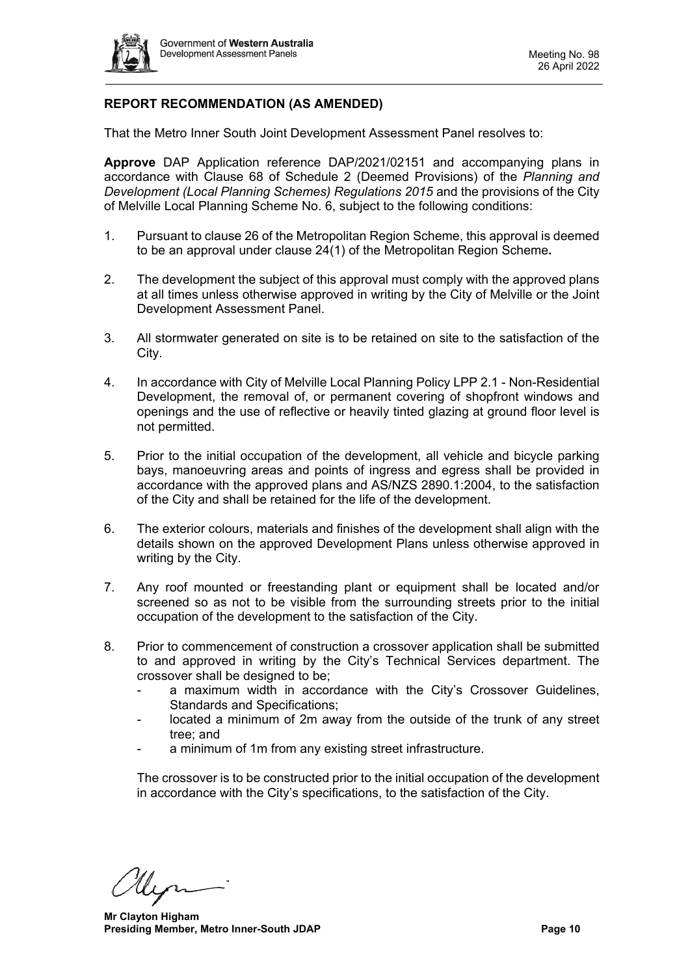

# **REPORT RECOMMENDATION (AS AMENDED)**

That the Metro Inner South Joint Development Assessment Panel resolves to:

**Approve** DAP Application reference DAP/2021/02151 and accompanying plans in accordance with Clause 68 of Schedule 2 (Deemed Provisions) of the *Planning and Development (Local Planning Schemes) Regulations 2015* and the provisions of the City of Melville Local Planning Scheme No. 6, subject to the following conditions:

- 1. Pursuant to clause 26 of the Metropolitan Region Scheme, this approval is deemed to be an approval under clause 24(1) of the Metropolitan Region Scheme*.*
- 2. The development the subject of this approval must comply with the approved plans at all times unless otherwise approved in writing by the City of Melville or the Joint Development Assessment Panel.
- 3. All stormwater generated on site is to be retained on site to the satisfaction of the City.
- 4. In accordance with City of Melville Local Planning Policy LPP 2.1 Non-Residential Development, the removal of, or permanent covering of shopfront windows and openings and the use of reflective or heavily tinted glazing at ground floor level is not permitted.
- 5. Prior to the initial occupation of the development, all vehicle and bicycle parking bays, manoeuvring areas and points of ingress and egress shall be provided in accordance with the approved plans and AS/NZS 2890.1:2004, to the satisfaction of the City and shall be retained for the life of the development.
- 6. The exterior colours, materials and finishes of the development shall align with the details shown on the approved Development Plans unless otherwise approved in writing by the City.
- 7. Any roof mounted or freestanding plant or equipment shall be located and/or screened so as not to be visible from the surrounding streets prior to the initial occupation of the development to the satisfaction of the City.
- 8. Prior to commencement of construction a crossover application shall be submitted to and approved in writing by the City's Technical Services department. The crossover shall be designed to be;
	- a maximum width in accordance with the City's Crossover Guidelines, Standards and Specifications;
	- located a minimum of 2m away from the outside of the trunk of any street tree; and
	- a minimum of 1m from any existing street infrastructure.

The crossover is to be constructed prior to the initial occupation of the development in accordance with the City's specifications, to the satisfaction of the City.

**Mr Clayton Higham Presiding Member, Metro Inner-South JDAP Page 10 Page 10**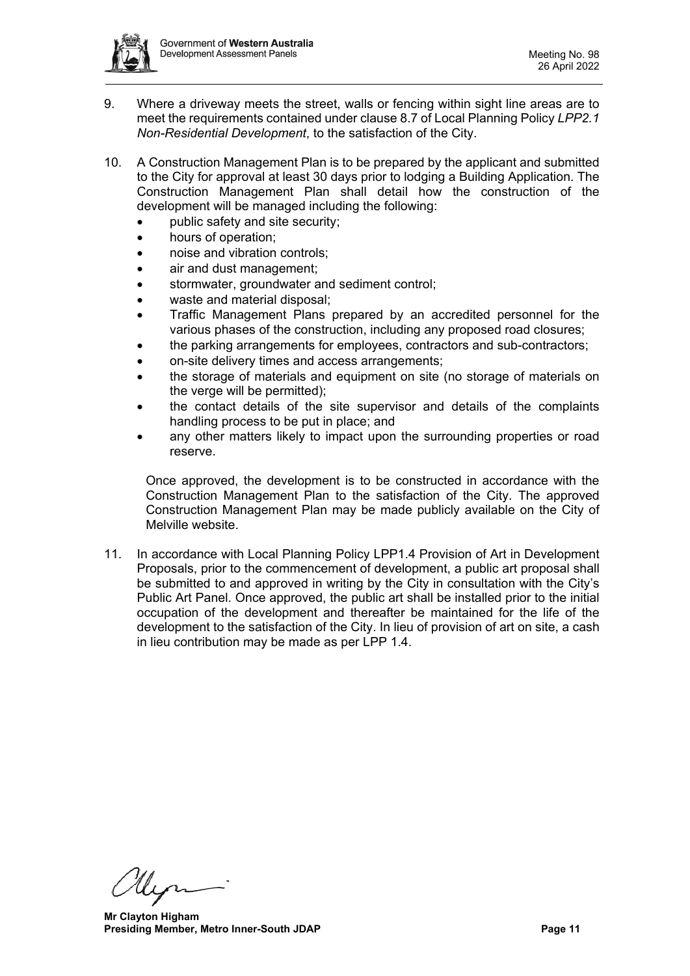

- 9. Where a driveway meets the street, walls or fencing within sight line areas are to meet the requirements contained under clause 8.7 of Local Planning Policy *LPP2.1 Non-Residential Development*, to the satisfaction of the City.
- 10. A Construction Management Plan is to be prepared by the applicant and submitted to the City for approval at least 30 days prior to lodging a Building Application. The Construction Management Plan shall detail how the construction of the development will be managed including the following:
	- public safety and site security;
	- hours of operation:
	- noise and vibration controls;
	- air and dust management;
	- stormwater, groundwater and sediment control;
	- waste and material disposal:
	- Traffic Management Plans prepared by an accredited personnel for the various phases of the construction, including any proposed road closures;
	- the parking arrangements for employees, contractors and sub-contractors;
	- on-site delivery times and access arrangements;
	- the storage of materials and equipment on site (no storage of materials on the verge will be permitted);
	- the contact details of the site supervisor and details of the complaints handling process to be put in place; and
	- any other matters likely to impact upon the surrounding properties or road reserve.

Once approved, the development is to be constructed in accordance with the Construction Management Plan to the satisfaction of the City. The approved Construction Management Plan may be made publicly available on the City of Melville website.

11. In accordance with Local Planning Policy LPP1.4 Provision of Art in Development Proposals, prior to the commencement of development, a public art proposal shall be submitted to and approved in writing by the City in consultation with the City's Public Art Panel. Once approved, the public art shall be installed prior to the initial occupation of the development and thereafter be maintained for the life of the development to the satisfaction of the City. In lieu of provision of art on site, a cash in lieu contribution may be made as per LPP 1.4.

**Mr Clayton Higham Presiding Member, Metro Inner-South JDAP Page 11 Page 11**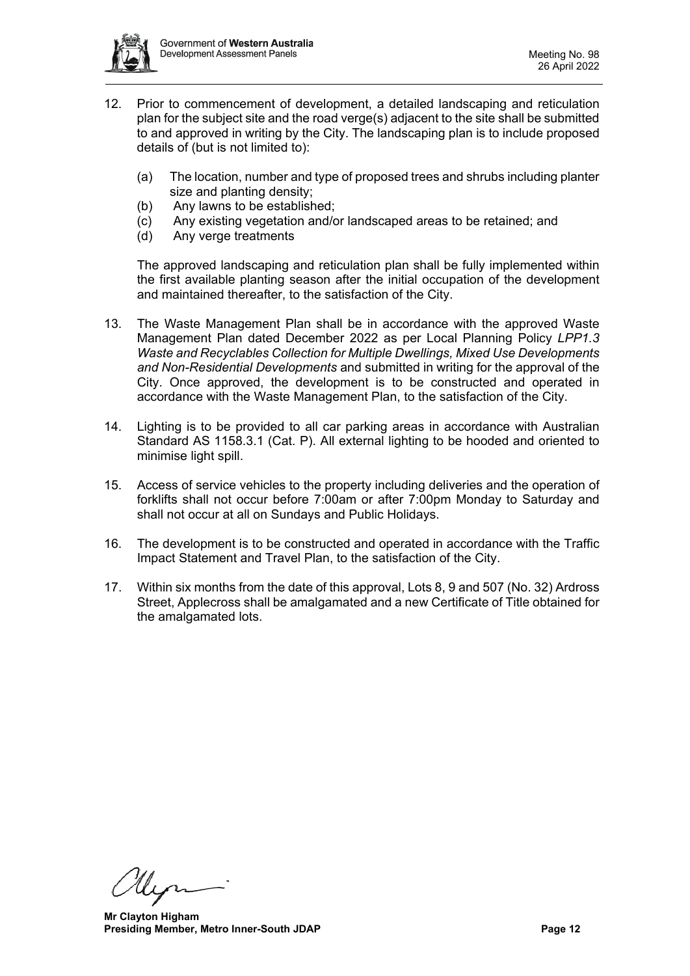

- 12. Prior to commencement of development, a detailed landscaping and reticulation plan for the subject site and the road verge(s) adjacent to the site shall be submitted to and approved in writing by the City. The landscaping plan is to include proposed details of (but is not limited to):
	- (a) The location, number and type of proposed trees and shrubs including planter size and planting density;
	- (b) Any lawns to be established;
	- (c) Any existing vegetation and/or landscaped areas to be retained; and
	- (d) Any verge treatments

The approved landscaping and reticulation plan shall be fully implemented within the first available planting season after the initial occupation of the development and maintained thereafter, to the satisfaction of the City.

- 13. The Waste Management Plan shall be in accordance with the approved Waste Management Plan dated December 2022 as per Local Planning Policy *LPP1.3 Waste and Recyclables Collection for Multiple Dwellings, Mixed Use Developments and Non-Residential Developments* and submitted in writing for the approval of the City. Once approved, the development is to be constructed and operated in accordance with the Waste Management Plan, to the satisfaction of the City.
- 14. Lighting is to be provided to all car parking areas in accordance with Australian Standard AS 1158.3.1 (Cat. P). All external lighting to be hooded and oriented to minimise light spill.
- 15. Access of service vehicles to the property including deliveries and the operation of forklifts shall not occur before 7:00am or after 7:00pm Monday to Saturday and shall not occur at all on Sundays and Public Holidays.
- 16. The development is to be constructed and operated in accordance with the Traffic Impact Statement and Travel Plan, to the satisfaction of the City.
- 17. Within six months from the date of this approval, Lots 8, 9 and 507 (No. 32) Ardross Street, Applecross shall be amalgamated and a new Certificate of Title obtained for the amalgamated lots.

**Mr Clayton Higham Presiding Member, Metro Inner-South JDAP Page 12 Page 12**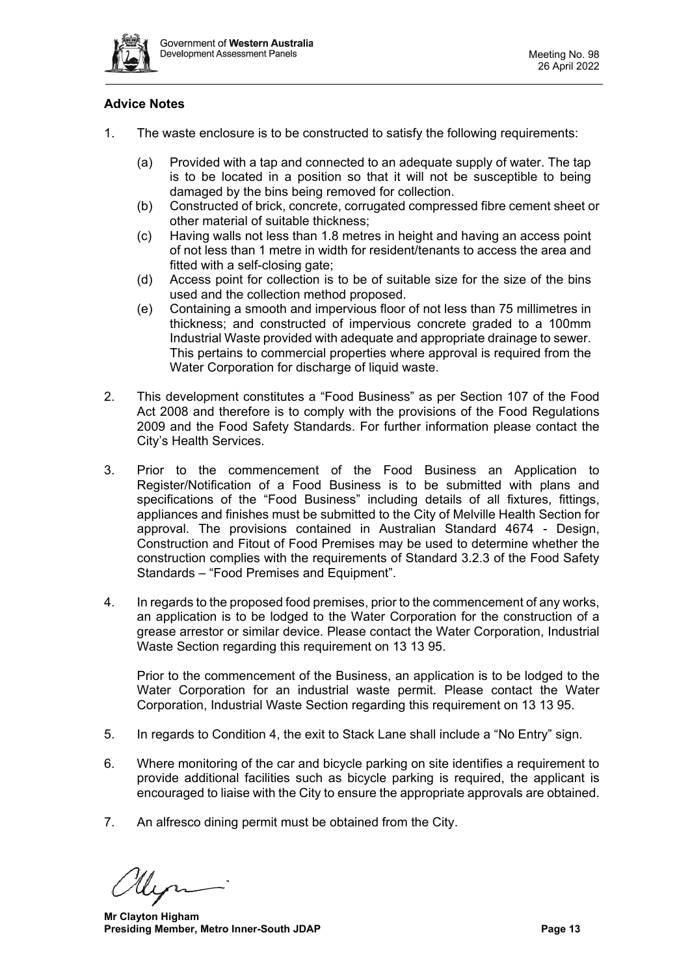

# **Advice Notes**

- 1. The waste enclosure is to be constructed to satisfy the following requirements:
	- (a) Provided with a tap and connected to an adequate supply of water. The tap is to be located in a position so that it will not be susceptible to being damaged by the bins being removed for collection.
	- (b) Constructed of brick, concrete, corrugated compressed fibre cement sheet or other material of suitable thickness;
	- (c) Having walls not less than 1.8 metres in height and having an access point of not less than 1 metre in width for resident/tenants to access the area and fitted with a self-closing gate;
	- (d) Access point for collection is to be of suitable size for the size of the bins used and the collection method proposed.
	- (e) Containing a smooth and impervious floor of not less than 75 millimetres in thickness; and constructed of impervious concrete graded to a 100mm Industrial Waste provided with adequate and appropriate drainage to sewer. This pertains to commercial properties where approval is required from the Water Corporation for discharge of liquid waste.
- 2. This development constitutes a "Food Business" as per Section 107 of the Food Act 2008 and therefore is to comply with the provisions of the Food Regulations 2009 and the Food Safety Standards. For further information please contact the City's Health Services.
- 3. Prior to the commencement of the Food Business an Application to Register/Notification of a Food Business is to be submitted with plans and specifications of the "Food Business" including details of all fixtures, fittings, appliances and finishes must be submitted to the City of Melville Health Section for approval. The provisions contained in Australian Standard 4674 - Design, Construction and Fitout of Food Premises may be used to determine whether the construction complies with the requirements of Standard 3.2.3 of the Food Safety Standards – "Food Premises and Equipment".
- 4. In regards to the proposed food premises, prior to the commencement of any works, an application is to be lodged to the Water Corporation for the construction of a grease arrestor or similar device. Please contact the Water Corporation, Industrial Waste Section regarding this requirement on 13 13 95.

Prior to the commencement of the Business, an application is to be lodged to the Water Corporation for an industrial waste permit. Please contact the Water Corporation, Industrial Waste Section regarding this requirement on 13 13 95.

- 5. In regards to Condition 4, the exit to Stack Lane shall include a "No Entry" sign.
- 6. Where monitoring of the car and bicycle parking on site identifies a requirement to provide additional facilities such as bicycle parking is required, the applicant is encouraged to liaise with the City to ensure the appropriate approvals are obtained.
- 7. An alfresco dining permit must be obtained from the City.

**Mr Clayton Higham Presiding Member, Metro Inner-South JDAP Page 13 Page 13**